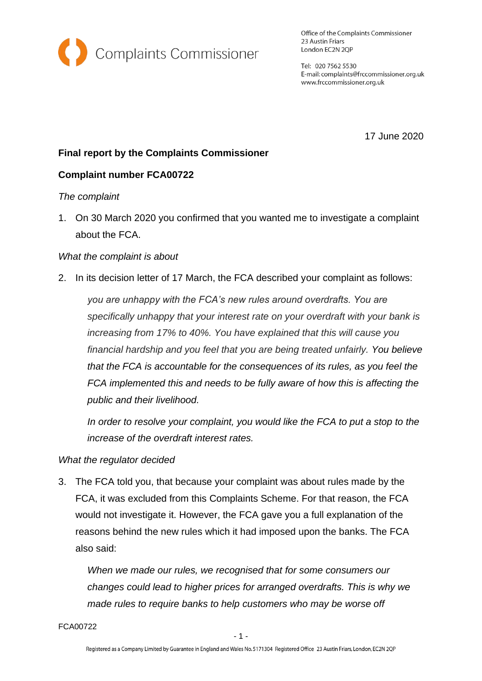

Office of the Complaints Commissioner 23 Austin Friars London EC2N 2QP

Tel: 020 7562 5530 E-mail: complaints@frccommissioner.org.uk www.frccommissioner.org.uk

17 June 2020

# **Final report by the Complaints Commissioner**

## **Complaint number FCA00722**

#### *The complaint*

1. On 30 March 2020 you confirmed that you wanted me to investigate a complaint about the FCA.

## *What the complaint is about*

2. In its decision letter of 17 March, the FCA described your complaint as follows:

*you are unhappy with the FCA's new rules around overdrafts. You are specifically unhappy that your interest rate on your overdraft with your bank is increasing from 17% to 40%. You have explained that this will cause you financial hardship and you feel that you are being treated unfairly. You believe that the FCA is accountable for the consequences of its rules, as you feel the FCA implemented this and needs to be fully aware of how this is affecting the public and their livelihood.*

*In order to resolve your complaint, you would like the FCA to put a stop to the increase of the overdraft interest rates.*

#### *What the regulator decided*

3. The FCA told you, that because your complaint was about rules made by the FCA, it was excluded from this Complaints Scheme. For that reason, the FCA would not investigate it. However, the FCA gave you a full explanation of the reasons behind the new rules which it had imposed upon the banks. The FCA also said:

*When we made our rules, we recognised that for some consumers our changes could lead to higher prices for arranged overdrafts. This is why we made rules to require banks to help customers who may be worse off* 

FCA00722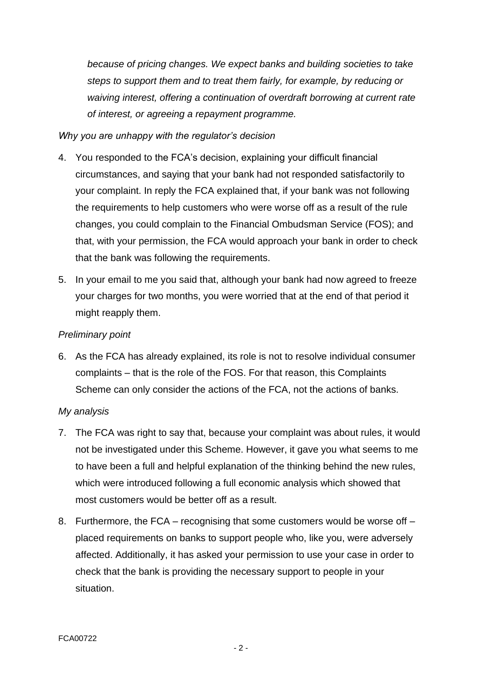*because of pricing changes. We expect banks and building societies to take steps to support them and to treat them fairly, for example, by reducing or waiving interest, offering a continuation of overdraft borrowing at current rate of interest, or agreeing a repayment programme.*

## *Why you are unhappy with the regulator's decision*

- 4. You responded to the FCA's decision, explaining your difficult financial circumstances, and saying that your bank had not responded satisfactorily to your complaint. In reply the FCA explained that, if your bank was not following the requirements to help customers who were worse off as a result of the rule changes, you could complain to the Financial Ombudsman Service (FOS); and that, with your permission, the FCA would approach your bank in order to check that the bank was following the requirements.
- 5. In your email to me you said that, although your bank had now agreed to freeze your charges for two months, you were worried that at the end of that period it might reapply them.

## *Preliminary point*

6. As the FCA has already explained, its role is not to resolve individual consumer complaints – that is the role of the FOS. For that reason, this Complaints Scheme can only consider the actions of the FCA, not the actions of banks.

#### *My analysis*

- 7. The FCA was right to say that, because your complaint was about rules, it would not be investigated under this Scheme. However, it gave you what seems to me to have been a full and helpful explanation of the thinking behind the new rules, which were introduced following a full economic analysis which showed that most customers would be better off as a result.
- 8. Furthermore, the FCA recognising that some customers would be worse off placed requirements on banks to support people who, like you, were adversely affected. Additionally, it has asked your permission to use your case in order to check that the bank is providing the necessary support to people in your situation.